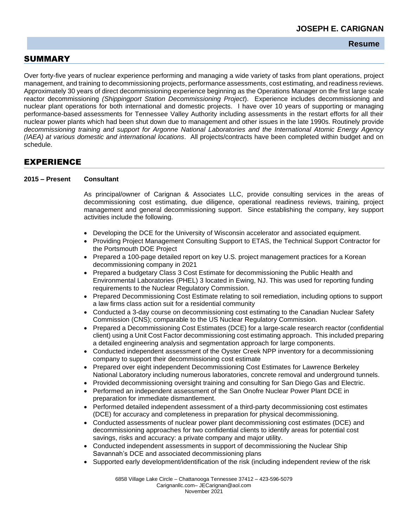## **Resume**

## SUMMARY

Over forty-five years of nuclear experience performing and managing a wide variety of tasks from plant operations, project management, and training to decommissioning projects, performance assessments, cost estimating, and readiness reviews. Approximately 30 years of direct decommissioning experience beginning as the Operations Manager on the first large scale reactor decommissioning *(Shippingport Station Decommissioning Project*). Experience includes decommissioning and nuclear plant operations for both international and domestic projects. I have over 10 years of supporting or managing performance-based assessments for Tennessee Valley Authority including assessments in the restart efforts for all their nuclear power plants which had been shut down due to management and other issues in the late 1990s. Routinely provide *decommissioning training and support for Argonne National Laboratories and the International Atomic Energy Agency (IAEA) at various domestic and international locations*. All projects/contracts have been completed within budget and on schedule.

# EXPERIENCE

#### **2015 – Present Consultant**

As principal/owner of Carignan & Associates LLC, provide consulting services in the areas of decommissioning cost estimating, due diligence, operational readiness reviews, training, project management and general decommissioning support. Since establishing the company, key support activities include the following.

- Developing the DCE for the University of Wisconsin accelerator and associated equipment.
- Providing Project Management Consulting Support to ETAS, the Technical Support Contractor for the Portsmouth DOE Project
- Prepared a 100-page detailed report on key U.S. project management practices for a Korean decommissioning company in 2021
- Prepared a budgetary Class 3 Cost Estimate for decommissioning the Public Health and Environmental Laboratories (PHEL) 3 located in Ewing, NJ. This was used for reporting funding requirements to the Nuclear Regulatory Commission.
- Prepared Decommissioning Cost Estimate relating to soil remediation, including options to support a law firms class action suit for a residential community
- Conducted a 3-day course on decommissioning cost estimating to the Canadian Nuclear Safety Commission (CNS); comparable to the US Nuclear Regulatory Commission.
- Prepared a Decommissioning Cost Estimates (DCE) for a large-scale research reactor (confidential client) using a Unit Cost Factor decommissioning cost estimating approach. This included preparing a detailed engineering analysis and segmentation approach for large components.
- Conducted independent assessment of the Oyster Creek NPP inventory for a decommissioning company to support their decommissioning cost estimate
- Prepared over eight independent Decommissioning Cost Estimates for Lawrence Berkeley National Laboratory including numerous laboratories, concrete removal and underground tunnels.
- Provided decommissioning oversight training and consulting for San Diego Gas and Electric.
- Performed an independent assessment of the San Onofre Nuclear Power Plant DCE in preparation for immediate dismantlement.
- Performed detailed independent assessment of a third-party decommissioning cost estimates (DCE) for accuracy and completeness in preparation for physical decommissioning.
- Conducted assessments of nuclear power plant decommissioning cost estimates (DCE) and decommissioning approaches for two confidential clients to identify areas for potential cost savings, risks and accuracy: a private company and major utility.
- Conducted independent assessments in support of decommissioning the Nuclear Ship Savannah's DCE and associated decommissioning plans
- Supported early development/identification of the risk (including independent review of the risk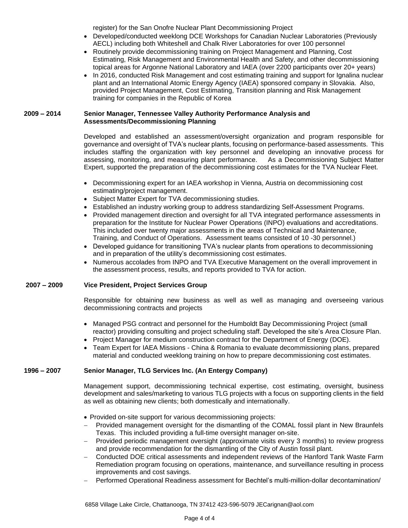register) for the San Onofre Nuclear Plant Decommissioning Project

- Developed/conducted weeklong DCE Workshops for Canadian Nuclear Laboratories (Previously AECL) including both Whiteshell and Chalk River Laboratories for over 100 personnel
- Routinely provide decommissioning training on Project Management and Planning, Cost Estimating, Risk Management and Environmental Health and Safety, and other decommissioning topical areas for Argonne National Laboratory and IAEA (over 2200 participants over 20+ years)
- In 2016, conducted Risk Management and cost estimating training and support for Ignalina nuclear plant and an International Atomic Energy Agency (IAEA) sponsored company in Slovakia. Also, provided Project Management, Cost Estimating, Transition planning and Risk Management training for companies in the Republic of Korea

### **2009 – 2014 Senior Manager, Tennessee Valley Authority Performance Analysis and Assessments/Decommissioning Planning**

Developed and established an assessment/oversight organization and program responsible for governance and oversight of TVA's nuclear plants, focusing on performance-based assessments. This includes staffing the organization with key personnel and developing an innovative process for assessing, monitoring, and measuring plant performance. As a Decommissioning Subject Matter Expert, supported the preparation of the decommissioning cost estimates for the TVA Nuclear Fleet.

- Decommissioning expert for an IAEA workshop in Vienna, Austria on decommissioning cost estimating/project management.
- Subject Matter Expert for TVA decommissioning studies.
- Established an industry working group to address standardizing Self-Assessment Programs.
- Provided management direction and oversight for all TVA integrated performance assessments in preparation for the Institute for Nuclear Power Operations (INPO) evaluations and accreditations. This included over twenty major assessments in the areas of Technical and Maintenance, Training, and Conduct of Operations. Assessment teams consisted of 10 -30 personnel.)
- Developed guidance for transitioning TVA's nuclear plants from operations to decommissioning and in preparation of the utility's decommissioning cost estimates.
- Numerous accolades from INPO and TVA Executive Management on the overall improvement in the assessment process, results, and reports provided to TVA for action.

### **2007 – 2009 Vice President, Project Services Group**

Responsible for obtaining new business as well as well as managing and overseeing various decommissioning contracts and projects

- Managed PSG contract and personnel for the Humboldt Bay Decommissioning Project (small reactor) providing consulting and project scheduling staff. Developed the site's Area Closure Plan.
- Project Manager for medium construction contract for the Department of Energy (DOE).
- Team Expert for IAEA Missions China & Romania to evaluate decommissioning plans, prepared material and conducted weeklong training on how to prepare decommissioning cost estimates.

### **1996 – 2007 Senior Manager, TLG Services Inc. (An Entergy Company)**

Management support, decommissioning technical expertise, cost estimating, oversight, business development and sales/marketing to various TLG projects with a focus on supporting clients in the field as well as obtaining new clients; both domestically and internationally.

- Provided on-site support for various decommissioning projects:
- − Provided management oversight for the dismantling of the COMAL fossil plant in New Braunfels Texas. This included providing a full-time oversight manager on-site.
- − Provided periodic management oversight (approximate visits every 3 months) to review progress and provide recommendation for the dismantling of the City of Austin fossil plant.
- − Conducted DOE critical assessments and independent reviews of the Hanford Tank Waste Farm Remediation program focusing on operations, maintenance, and surveillance resulting in process improvements and cost savings.
- − Performed Operational Readiness assessment for Bechtel's multi-million-dollar decontamination/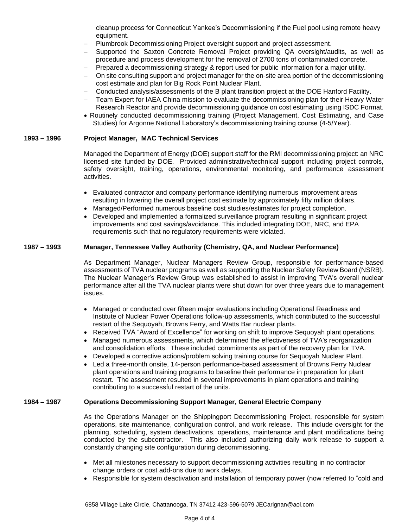cleanup process for Connecticut Yankee's Decommissioning if the Fuel pool using remote heavy equipment.

- − Plumbrook Decommissioning Project oversight support and project assessment.
- Supported the Saxton Concrete Removal Project providing QA oversight/audits, as well as procedure and process development for the removal of 2700 tons of contaminated concrete.
- Prepared a decommissioning strategy & report used for public information for a major utility.
- On site consulting support and project manager for the on-site area portion of the decommissioning cost estimate and plan for Big Rock Point Nuclear Plant.
- − Conducted analysis/assessments of the B plant transition project at the DOE Hanford Facility.
- Team Expert for IAEA China mission to evaluate the decommissioning plan for their Heavy Water Research Reactor and provide decommissioning guidance on cost estimating using ISDC Format.
- Routinely conducted decommissioning training (Project Management, Cost Estimating, and Case Studies) for Argonne National Laboratory's decommissioning training course (4-5/Year).

#### **1993 – 1996 Project Manager, MAC Technical Services**

Managed the Department of Energy (DOE) support staff for the RMI decommissioning project: an NRC licensed site funded by DOE. Provided administrative/technical support including project controls, safety oversight, training, operations, environmental monitoring, and performance assessment activities.

- Evaluated contractor and company performance identifying numerous improvement areas resulting in lowering the overall project cost estimate by approximately fifty million dollars.
- Managed/Performed numerous baseline cost studies/estimates for project completion.
- Developed and implemented a formalized surveillance program resulting in significant project improvements and cost savings/avoidance. This included integrating DOE, NRC, and EPA requirements such that no regulatory requirements were violated.

#### **1987 – 1993 Manager, Tennessee Valley Authority (Chemistry, QA, and Nuclear Performance)**

As Department Manager, Nuclear Managers Review Group, responsible for performance-based assessments of TVA nuclear programs as well as supporting the Nuclear Safety Review Board (NSRB). The Nuclear Manager's Review Group was established to assist in improving TVA's overall nuclear performance after all the TVA nuclear plants were shut down for over three years due to management issues.

- Managed or conducted over fifteen major evaluations including Operational Readiness and Institute of Nuclear Power Operations follow-up assessments, which contributed to the successful restart of the Sequoyah, Browns Ferry, and Watts Bar nuclear plants.
- Received TVA "Award of Excellence" for working on shift to improve Sequoyah plant operations.
- Managed numerous assessments, which determined the effectiveness of TVA's reorganization and consolidation efforts. These included commitments as part of the recovery plan for TVA.
- Developed a corrective actions/problem solving training course for Sequoyah Nuclear Plant.
- Led a three-month onsite, 14-person performance-based assessment of Browns Ferry Nuclear plant operations and training programs to baseline their performance in preparation for plant restart. The assessment resulted in several improvements in plant operations and training contributing to a successful restart of the units.

#### **1984 – 1987 Operations Decommissioning Support Manager, General Electric Company**

As the Operations Manager on the Shippingport Decommissioning Project, responsible for system operations, site maintenance, configuration control, and work release. This include oversight for the planning, scheduling, system deactivations, operations, maintenance and plant modifications being conducted by the subcontractor. This also included authorizing daily work release to support a constantly changing site configuration during decommissioning.

- Met all milestones necessary to support decommissioning activities resulting in no contractor change orders or cost add-ons due to work delays.
- Responsible for system deactivation and installation of temporary power (now referred to "cold and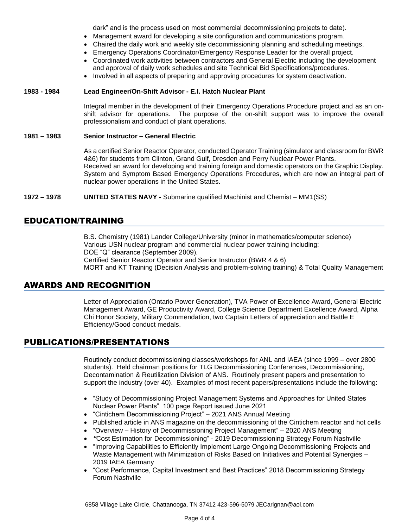dark" and is the process used on most commercial decommissioning projects to date).

- Management award for developing a site configuration and communications program.
- Chaired the daily work and weekly site decommissioning planning and scheduling meetings.
- Emergency Operations Coordinator/Emergency Response Leader for the overall project.
- Coordinated work activities between contractors and General Electric including the development and approval of daily work schedules and site Technical Bid Specifications/procedures.
- Involved in all aspects of preparing and approving procedures for system deactivation.

### **1983 - 1984 Lead Engineer/On-Shift Advisor - E.I. Hatch Nuclear Plant**

Integral member in the development of their Emergency Operations Procedure project and as an onshift advisor for operations. The purpose of the on-shift support was to improve the overall professionalism and conduct of plant operations.

### **1981 – 1983 Senior Instructor – General Electric**

As a certified Senior Reactor Operator, conducted Operator Training (simulator and classroom for BWR 4&6) for students from Clinton, Grand Gulf, Dresden and Perry Nuclear Power Plants. Received an award for developing and training foreign and domestic operators on the Graphic Display. System and Symptom Based Emergency Operations Procedures, which are now an integral part of nuclear power operations in the United States.

**1972 – 1978 UNITED STATES NAVY -** Submarine qualified Machinist and Chemist – MM1(SS)

## EDUCATION/TRAINING

B.S. Chemistry (1981) Lander College/University (minor in mathematics/computer science) Various USN nuclear program and commercial nuclear power training including: DOE "Q" clearance (September 2009). Certified Senior Reactor Operator and Senior Instructor (BWR 4 & 6) MORT and KT Training (Decision Analysis and problem-solving training) & Total Quality Management

# AWARDS AND RECOGNITION

Letter of Appreciation (Ontario Power Generation), TVA Power of Excellence Award, General Electric Management Award, GE Productivity Award, College Science Department Excellence Award, Alpha Chi Honor Society, Military Commendation, two Captain Letters of appreciation and Battle E Efficiency/Good conduct medals.

## PUBLICATIONS/PRESENTATIONS

Routinely conduct decommissioning classes/workshops for ANL and IAEA (since 1999 – over 2800 students). Held chairman positions for TLG Decommissioning Conferences, Decommissioning, Decontamination & Reutilization Division of ANS. Routinely present papers and presentation to support the industry (over 40). Examples of most recent papers/presentations include the following:

- "Study of Decommissioning Project Management Systems and Approaches for United States Nuclear Power Plants" 100 page Report issued June 2021
- "Cintichem Decommissioning Project" 2021 ANS Annual Meeting
- Published article in ANS magazine on the decommissioning of the Cintichem reactor and hot cells
- "Overview History of Decommissioning Project Management" 2020 ANS Meeting
- *"*Cost Estimation for Decommissioning" 2019 Decommissioning Strategy Forum Nashville
- "Improving Capabilities to Efficiently Implement Large Ongoing Decommissioning Projects and Waste Management with Minimization of Risks Based on Initiatives and Potential Synergies -2019 IAEA Germany
- "Cost Performance, Capital Investment and Best Practices" 2018 Decommissioning Strategy Forum Nashville